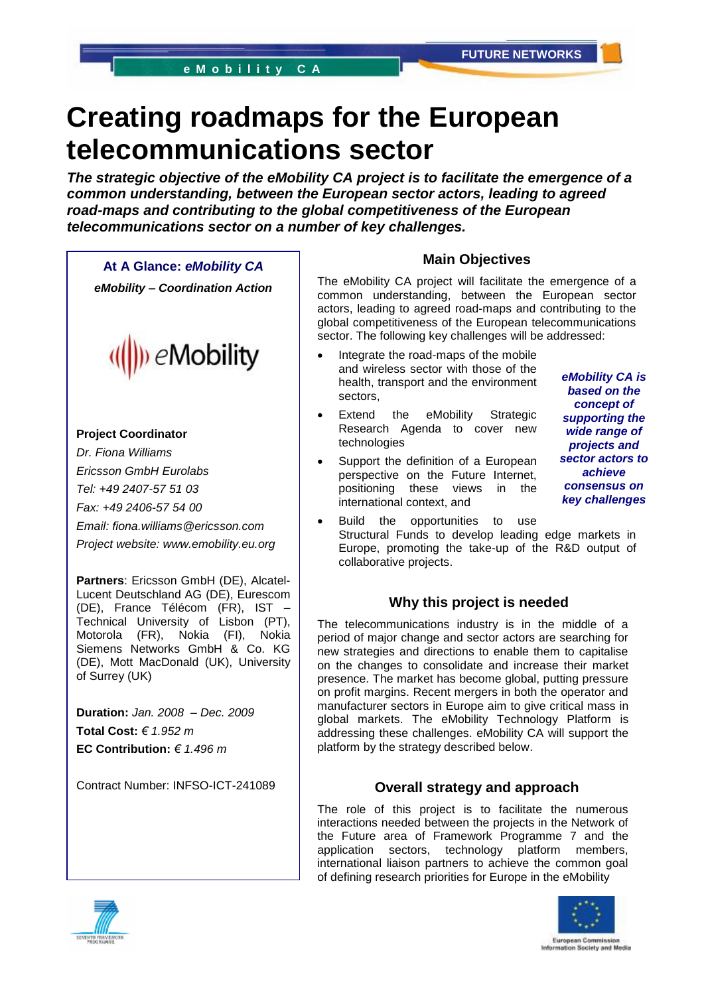# **Creating roadmaps for the European telecommunications sector**

*The strategic objective of the eMobility CA project is to facilitate the emergence of a common understanding, between the European sector actors, leading to agreed road-maps and contributing to the global competitiveness of the European telecommunications sector on a number of key challenges.*

**At A Glance:** *eMobility CA eMobility – Coordination Action*



### **Project Coordinator**

*Dr. Fiona Williams Ericsson GmbH Eurolabs Tel: +49 2407-57 51 03 Fax: +49 2406-57 54 00 Email: fiona.williams@ericsson.com Project website: www.emobility.eu.org*

**Partners**: Ericsson GmbH (DE), Alcatel-Lucent Deutschland AG (DE), Eurescom (DE), France Télécom (FR), IST – Technical University of Lisbon (PT), Motorola (FR), Nokia (FI), Nokia Siemens Networks GmbH & Co. KG (DE), Mott MacDonald (UK), University of Surrey (UK)

**Duration:** *Jan. 2008 – Dec. 2009* **Total Cost:** *€ 1.952 m* **EC Contribution:** *€ 1.496 m*

Contract Number: INFSO-ICT-241089

## **Main Objectives**

The eMobility CA project will facilitate the emergence of a common understanding, between the European sector actors, leading to agreed road-maps and contributing to the global competitiveness of the European telecommunications sector. The following key challenges will be addressed:

- Integrate the road-maps of the mobile and wireless sector with those of the health, transport and the environment sectors,
- Extend the eMobility Strategic Research Agenda to cover new technologies
- Support the definition of a European perspective on the Future Internet, positioning these views in the international context, and

*eMobility CA is based on the concept of supporting the wide range of projects and sector actors to achieve consensus on key challenges*

 Build the opportunities to use Structural Funds to develop leading edge markets in Europe, promoting the take-up of the R&D output of collaborative projects.

# **Why this project is needed**

The telecommunications industry is in the middle of a period of major change and sector actors are searching for new strategies and directions to enable them to capitalise on the changes to consolidate and increase their market presence. The market has become global, putting pressure on profit margins. Recent mergers in both the operator and manufacturer sectors in Europe aim to give critical mass in global markets. The eMobility Technology Platform is addressing these challenges. eMobility CA will support the platform by the strategy described below.

## **Overall strategy and approach**

The role of this project is to facilitate the numerous interactions needed between the projects in the Network of the Future area of Framework Programme 7 and the application sectors, technology platform members, international liaison partners to achieve the common goal of defining research priorities for Europe in the eMobility